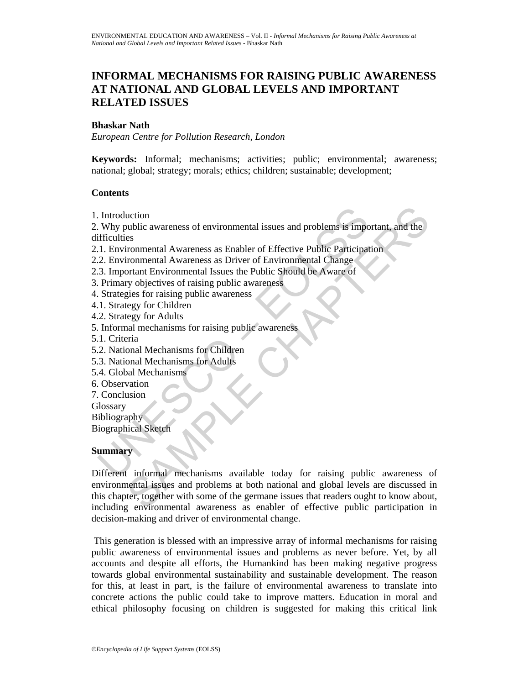# **INFORMAL MECHANISMS FOR RAISING PUBLIC AWARENESS AT NATIONAL AND GLOBAL LEVELS AND IMPORTANT RELATED ISSUES**

#### **Bhaskar Nath**

*European Centre for Pollution Research, London* 

**Keywords:** Informal; mechanisms; activities; public; environmental; awareness; national; global; strategy; morals; ethics; children; sustainable; development;

## **Contents**

1. Introduction

Introduction<br>
Why public awareness of environmental issues and problems is imported<br>
I. L. Environmental Awareness as Enabler of Effective Public Participate<br>
2. Environmental Awareness as Driver of Environmental Change<br>
2 2. Why public awareness of environmental issues and problems is important, and the difficulties

- 2.1. Environmental Awareness as Enabler of Effective Public Participation
- 2.2. Environmental Awareness as Driver of Environmental Change
- 2.3. Important Environmental Issues the Public Should be Aware of
- 3. Primary objectives of raising public awareness
- 4. Strategies for raising public awareness
- 4.1. Strategy for Children
- 4.2. Strategy for Adults
- 5. Informal mechanisms for raising public awareness
- 5.1. Criteria
- 5.2. National Mechanisms for Children
- 5.3. National Mechanisms for Adults
- 5.4. Global Mechanisms
- 6. Observation
- 7. Conclusion
- **Glossary**

Bibliography

Biographical Sketch

# **Summary**

uction<br>
Ses<br>
experimental Awareness as Enabler of Effective Public Participation<br>
ironmental Awareness as Enabler of Effective Public Participation<br>
ironmental Awareness as Driver of Environmental Change<br>
ortant Environmen Different informal mechanisms available today for raising public awareness of environmental issues and problems at both national and global levels are discussed in this chapter, together with some of the germane issues that readers ought to know about, including environmental awareness as enabler of effective public participation in decision-making and driver of environmental change.

 This generation is blessed with an impressive array of informal mechanisms for raising public awareness of environmental issues and problems as never before. Yet, by all accounts and despite all efforts, the Humankind has been making negative progress towards global environmental sustainability and sustainable development. The reason for this, at least in part, is the failure of environmental awareness to translate into concrete actions the public could take to improve matters. Education in moral and ethical philosophy focusing on children is suggested for making this critical link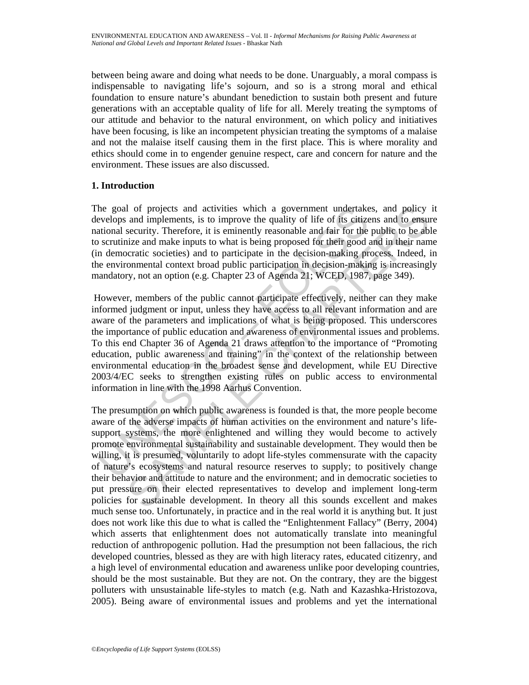between being aware and doing what needs to be done. Unarguably, a moral compass is indispensable to navigating life's sojourn, and so is a strong moral and ethical foundation to ensure nature's abundant benediction to sustain both present and future generations with an acceptable quality of life for all. Merely treating the symptoms of our attitude and behavior to the natural environment, on which policy and initiatives have been focusing, is like an incompetent physician treating the symptoms of a malaise and not the malaise itself causing them in the first place. This is where morality and ethics should come in to engender genuine respect, care and concern for nature and the environment. These issues are also discussed.

## **1. Introduction**

The goal of projects and activities which a government undertakes, and policy it develops and implements, is to improve the quality of life of its citizens and to ensure national security. Therefore, it is eminently reasonable and fair for the public to be able to scrutinize and make inputs to what is being proposed for their good and in their name (in democratic societies) and to participate in the decision-making process. Indeed, in the environmental context broad public participation in decision-making is increasingly mandatory, not an option (e.g. Chapter 23 of Agenda 21; WCED, 1987, page 349).

the goal of projects and activities which a government undertake<br>evelops and implements, is to improve the quality of life of its citize<br>ational security. Therefore, it is eminently reasonable and fair for the<br>securitize a However, members of the public cannot participate effectively, neither can they make informed judgment or input, unless they have access to all relevant information and are aware of the parameters and implications of what is being proposed. This underscores the importance of public education and awareness of environmental issues and problems. To this end Chapter 36 of Agenda 21 draws attention to the importance of "Promoting education, public awareness and training" in the context of the relationship between environmental education in the broadest sense and development, while EU Directive 2003/4/EC seeks to strengthen existing rules on public access to environmental information in line with the 1998 Aarhus Convention.

1 of projects and activities which a government undertakes, and policy<br>and implements, it to improve the quality of life of its cirizens and to ensu<br>esecurity. Therefore, it is eminently reasonable and fair for the public The presumption on which public awareness is founded is that, the more people become aware of the adverse impacts of human activities on the environment and nature's lifesupport systems, the more enlightened and willing they would become to actively promote environmental sustainability and sustainable development. They would then be willing, it is presumed, voluntarily to adopt life-styles commensurate with the capacity of nature's ecosystems and natural resource reserves to supply; to positively change their behavior and attitude to nature and the environment; and in democratic societies to put pressure on their elected representatives to develop and implement long-term policies for sustainable development. In theory all this sounds excellent and makes much sense too. Unfortunately, in practice and in the real world it is anything but. It just does not work like this due to what is called the "Enlightenment Fallacy" (Berry, 2004) which asserts that enlightenment does not automatically translate into meaningful reduction of anthropogenic pollution. Had the presumption not been fallacious, the rich developed countries, blessed as they are with high literacy rates, educated citizenry, and a high level of environmental education and awareness unlike poor developing countries, should be the most sustainable. But they are not. On the contrary, they are the biggest polluters with unsustainable life-styles to match (e.g. Nath and Kazashka-Hristozova, 2005). Being aware of environmental issues and problems and yet the international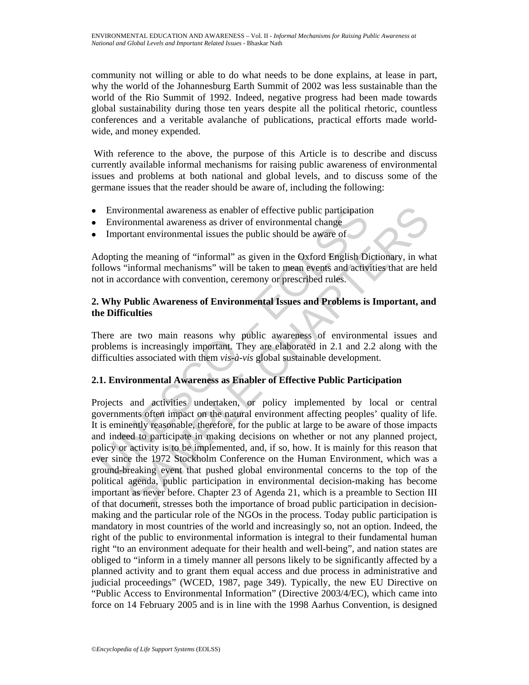community not willing or able to do what needs to be done explains, at lease in part, why the world of the Johannesburg Earth Summit of 2002 was less sustainable than the world of the Rio Summit of 1992. Indeed, negative progress had been made towards global sustainability during those ten years despite all the political rhetoric, countless conferences and a veritable avalanche of publications, practical efforts made worldwide, and money expended.

 With reference to the above, the purpose of this Article is to describe and discuss currently available informal mechanisms for raising public awareness of environmental issues and problems at both national and global levels, and to discuss some of the germane issues that the reader should be aware of, including the following:

- Environmental awareness as enabler of effective public participation
- Environmental awareness as driver of environmental change
- Important environmental issues the public should be aware of

Adopting the meaning of "informal" as given in the Oxford English Dictionary, in what follows "informal mechanisms" will be taken to mean events and activities that are held not in accordance with convention, ceremony or prescribed rules.

## **2. Why Public Awareness of Environmental Issues and Problems is Important, and the Difficulties**

There are two main reasons why public awareness of environmental issues and problems is increasingly important. They are elaborated in 2.1 and 2.2 along with the difficulties associated with them *vis-à-vis* global sustainable development.

# **2.1. Environmental Awareness as Enabler of Effective Public Participation**

Environmental awareness as enabler of effective public participation<br>Environmental awareness as driver of environmental change<br>Important environmental issues the public should be aware of<br>dopting the meaning of "informal" rommental awareness as enabler of effective public participation<br>conmental awareness as driver of environmental change<br>trant environmental issues the public should be aware of<br>the meaning of "informal" as given in the Oxfo Projects and activities undertaken, or policy implemented by local or central governments often impact on the natural environment affecting peoples' quality of life. It is eminently reasonable, therefore, for the public at large to be aware of those impacts and indeed to participate in making decisions on whether or not any planned project, policy or activity is to be implemented, and, if so, how. It is mainly for this reason that ever since the 1972 Stockholm Conference on the Human Environment, which was a ground-breaking event that pushed global environmental concerns to the top of the political agenda, public participation in environmental decision-making has become important as never before. Chapter 23 of Agenda 21, which is a preamble to Section III of that document, stresses both the importance of broad public participation in decisionmaking and the particular role of the NGOs in the process. Today public participation is mandatory in most countries of the world and increasingly so, not an option. Indeed, the right of the public to environmental information is integral to their fundamental human right "to an environment adequate for their health and well-being", and nation states are obliged to "inform in a timely manner all persons likely to be significantly affected by a planned activity and to grant them equal access and due process in administrative and judicial proceedings" (WCED, 1987, page 349). Typically, the new EU Directive on "Public Access to Environmental Information" (Directive 2003/4/EC), which came into force on 14 February 2005 and is in line with the 1998 Aarhus Convention, is designed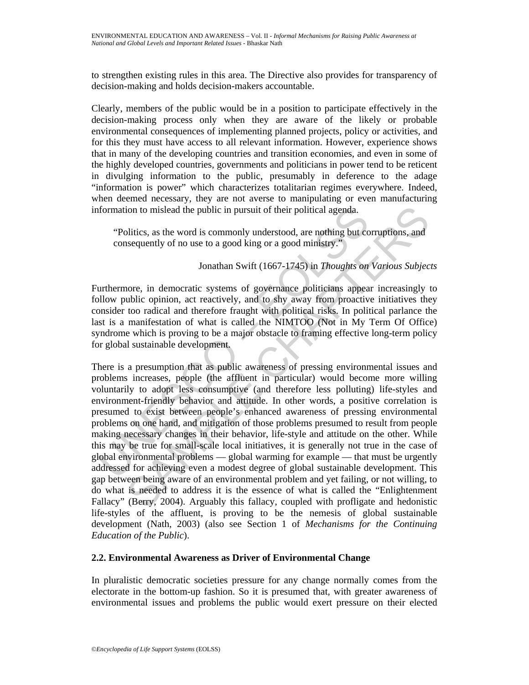to strengthen existing rules in this area. The Directive also provides for transparency of decision-making and holds decision-makers accountable.

Clearly, members of the public would be in a position to participate effectively in the decision-making process only when they are aware of the likely or probable environmental consequences of implementing planned projects, policy or activities, and for this they must have access to all relevant information. However, experience shows that in many of the developing countries and transition economies, and even in some of the highly developed countries, governments and politicians in power tend to be reticent in divulging information to the public, presumably in deference to the adage "information is power" which characterizes totalitarian regimes everywhere. Indeed, when deemed necessary, they are not averse to manipulating or even manufacturing information to mislead the public in pursuit of their political agenda.

"Politics, as the word is commonly understood, are nothing but corruptions, and consequently of no use to a good king or a good ministry."

# Jonathan Swift (1667-1745) in *Thoughts on Various Subjects*

Furthermore, in democratic systems of governance politicians appear increasingly to follow public opinion, act reactively, and to shy away from proactive initiatives they consider too radical and therefore fraught with political risks. In political parlance the last is a manifestation of what is called the NIMTOO (Not in My Term Of Office) syndrome which is proving to be a major obstacle to framing effective long-term policy for global sustainable development.

formation to mislead the public in pursuit of their political agenda.<br>
"Politics, as the word is commonly understood, are nothing but co<br>
consequently of no use to a good king or a good ministry."<br>
Jonathan Swift (1667-174 ion to mislead the public in pursuit of their political agenda.<br>
blitics, as the word is commonly understood, are nothing but corruptions, and<br>
seequently of no use to a good king or a good ministry."<br>
Jonathan Swift (166 There is a presumption that as public awareness of pressing environmental issues and problems increases, people (the affluent in particular) would become more willing voluntarily to adopt less consumptive (and therefore less polluting) life-styles and environment-friendly behavior and attitude. In other words, a positive correlation is presumed to exist between people's enhanced awareness of pressing environmental problems on one hand, and mitigation of those problems presumed to result from people making necessary changes in their behavior, life-style and attitude on the other. While this may be true for small-scale local initiatives, it is generally not true in the case of global environmental problems — global warming for example — that must be urgently addressed for achieving even a modest degree of global sustainable development. This gap between being aware of an environmental problem and yet failing, or not willing, to do what is needed to address it is the essence of what is called the "Enlightenment Fallacy" (Berry, 2004). Arguably this fallacy, coupled with profligate and hedonistic life-styles of the affluent, is proving to be the nemesis of global sustainable development (Nath, 2003) (also see Section 1 of *Mechanisms for the Continuing Education of the Public*).

# **2.2. Environmental Awareness as Driver of Environmental Change**

In pluralistic democratic societies pressure for any change normally comes from the electorate in the bottom-up fashion. So it is presumed that, with greater awareness of environmental issues and problems the public would exert pressure on their elected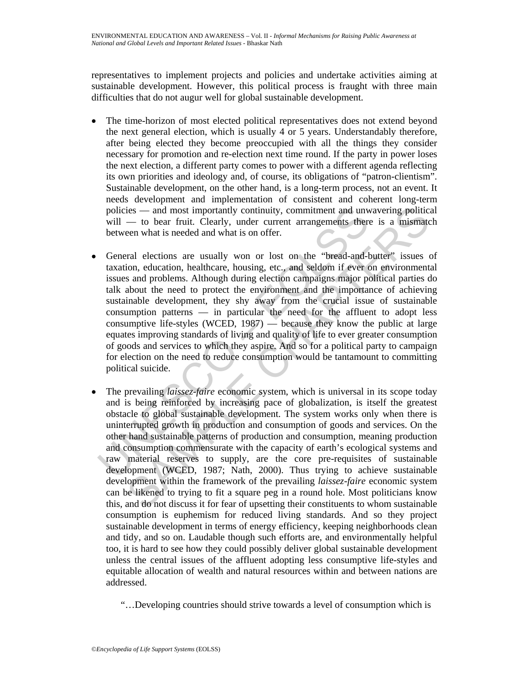representatives to implement projects and policies and undertake activities aiming at sustainable development. However, this political process is fraught with three main difficulties that do not augur well for global sustainable development.

- The time-horizon of most elected political representatives does not extend beyond the next general election, which is usually 4 or 5 years. Understandably therefore, after being elected they become preoccupied with all the things they consider necessary for promotion and re-election next time round. If the party in power loses the next election, a different party comes to power with a different agenda reflecting its own priorities and ideology and, of course, its obligations of "patron-clientism". Sustainable development, on the other hand, is a long-term process, not an event. It needs development and implementation of consistent and coherent long-term policies — and most importantly continuity, commitment and unwavering political will — to bear fruit. Clearly, under current arrangements there is a mismatch between what is needed and what is on offer.
- policies and most importantly continuity, commitment and unw<br>will to bear fruit. Clearly, under current arrangements there<br>between what is needed and what is on offer.<br>General elections are usually won or lost on the • General elections are usually won or lost on the "bread-and-butter" issues of taxation, education, healthcare, housing, etc., and seldom if ever on environmental issues and problems. Although during election campaigns major political parties do talk about the need to protect the environment and the importance of achieving sustainable development, they shy away from the crucial issue of sustainable consumption patterns — in particular the need for the affluent to adopt less consumptive life-styles (WCED, 1987) — because they know the public at large equates improving standards of living and quality of life to ever greater consumption of goods and services to which they aspire. And so for a political party to campaign for election on the need to reduce consumption would be tantamount to committing political suicide.
- ies and most importantly continuity, commitment and unwavering politicity to bear fruit. Clearly, under current arrangements there is a mismatcen what is needed and what is on offer.<br>The ventral elections are usually • The prevailing *laissez-faire* economic system, which is universal in its scope today and is being reinforced by increasing pace of globalization, is itself the greatest obstacle to global sustainable development. The system works only when there is uninterrupted growth in production and consumption of goods and services. On the other hand sustainable patterns of production and consumption, meaning production and consumption commensurate with the capacity of earth's ecological systems and raw material reserves to supply, are the core pre-requisites of sustainable development (WCED, 1987; Nath, 2000). Thus trying to achieve sustainable development within the framework of the prevailing *laissez-faire* economic system can be likened to trying to fit a square peg in a round hole. Most politicians know this, and do not discuss it for fear of upsetting their constituents to whom sustainable consumption is euphemism for reduced living standards. And so they project sustainable development in terms of energy efficiency, keeping neighborhoods clean and tidy, and so on. Laudable though such efforts are, and environmentally helpful too, it is hard to see how they could possibly deliver global sustainable development unless the central issues of the affluent adopting less consumptive life-styles and equitable allocation of wealth and natural resources within and between nations are addressed.
	- "…Developing countries should strive towards a level of consumption which is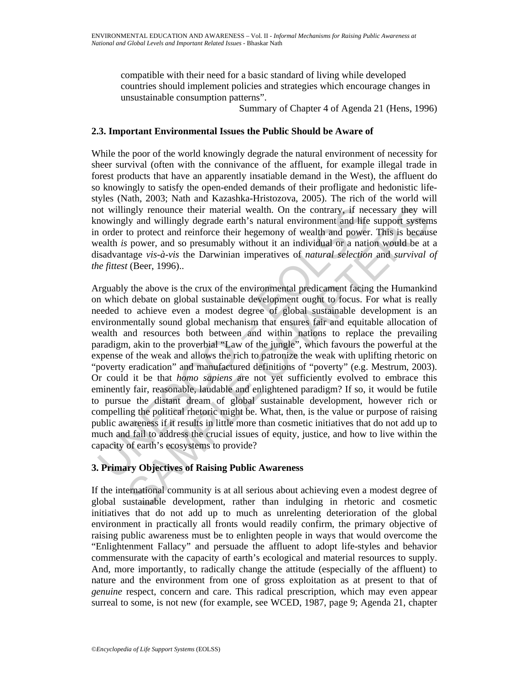compatible with their need for a basic standard of living while developed countries should implement policies and strategies which encourage changes in unsustainable consumption patterns".

Summary of Chapter 4 of Agenda 21 (Hens, 1996)

## **2.3. Important Environmental Issues the Public Should be Aware of**

While the poor of the world knowingly degrade the natural environment of necessity for sheer survival (often with the connivance of the affluent, for example illegal trade in forest products that have an apparently insatiable demand in the West), the affluent do so knowingly to satisfy the open-ended demands of their profligate and hedonistic lifestyles (Nath, 2003; Nath and Kazashka-Hristozova, 2005). The rich of the world will not willingly renounce their material wealth. On the contrary, if necessary they will knowingly and willingly degrade earth's natural environment and life support systems in order to protect and reinforce their hegemony of wealth and power. This is because wealth *is* power, and so presumably without it an individual or a nation would be at a disadvantage *vis-à-vis* the Darwinian imperatives of *natural selection* and *survival of the fittest* (Beer, 1996)..

or willingly renounce their material wealth. On the contrary, if neach or order to protect and reinforce their his natural environment and life or and reinforce their hegemony of wealth and power to presumably without it a ngly renounce their material wealth. On the contrary, if necessary they will y and willingly degrade earth's natural environment and life support system to protect and reinforce their heganony of wealth and power. This is Arguably the above is the crux of the environmental predicament facing the Humankind on which debate on global sustainable development ought to focus. For what is really needed to achieve even a modest degree of global sustainable development is an environmentally sound global mechanism that ensures fair and equitable allocation of wealth and resources both between and within nations to replace the prevailing paradigm, akin to the proverbial "Law of the jungle", which favours the powerful at the expense of the weak and allows the rich to patronize the weak with uplifting rhetoric on "poverty eradication" and manufactured definitions of "poverty" (e.g. Mestrum, 2003). Or could it be that *homo sapiens* are not yet sufficiently evolved to embrace this eminently fair, reasonable, laudable and enlightened paradigm? If so, it would be futile to pursue the distant dream of global sustainable development, however rich or compelling the political rhetoric might be. What, then, is the value or purpose of raising public awareness if it results in little more than cosmetic initiatives that do not add up to much and fail to address the crucial issues of equity, justice, and how to live within the capacity of earth's ecosystems to provide?

# **3. Primary Objectives of Raising Public Awareness**

If the international community is at all serious about achieving even a modest degree of global sustainable development, rather than indulging in rhetoric and cosmetic initiatives that do not add up to much as unrelenting deterioration of the global environment in practically all fronts would readily confirm, the primary objective of raising public awareness must be to enlighten people in ways that would overcome the "Enlightenment Fallacy" and persuade the affluent to adopt life-styles and behavior commensurate with the capacity of earth's ecological and material resources to supply. And, more importantly, to radically change the attitude (especially of the affluent) to nature and the environment from one of gross exploitation as at present to that of *genuine* respect, concern and care. This radical prescription, which may even appear surreal to some, is not new (for example, see WCED, 1987, page 9; Agenda 21, chapter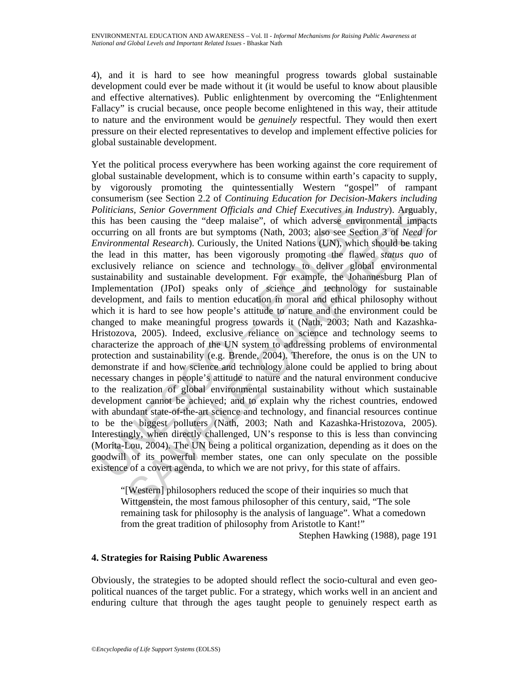4), and it is hard to see how meaningful progress towards global sustainable development could ever be made without it (it would be useful to know about plausible and effective alternatives). Public enlightenment by overcoming the "Enlightenment Fallacy" is crucial because, once people become enlightened in this way, their attitude to nature and the environment would be *genuinely* respectful. They would then exert pressure on their elected representatives to develop and implement effective policies for global sustainable development.

oliticians, Senior Government Officials and Chief Executives in Ind<br>is has been causing the "deep malaise", of which adverse enviror<br>cocurring on all fronts are but symptoms (Nath, 2003; also see Section<br>invironmental Rese ns, Senior Government Officials and Chief Executives in Industry). Arguably<br>been causing the "deep malaise", of which adverse environmental impac-<br>g on all fronts are but symptoms (Nath, 2003; also see Section 3 of *Need [* Yet the political process everywhere has been working against the core requirement of global sustainable development, which is to consume within earth's capacity to supply, by vigorously promoting the quintessentially Western "gospel" of rampant consumerism (see Section 2.2 of *Continuing Education for Decision-Makers including Politicians, Senior Government Officials and Chief Executives in Industry*). Arguably, this has been causing the "deep malaise", of which adverse environmental impacts occurring on all fronts are but symptoms (Nath, 2003; also see Section 3 of *Need for Environmental Research*). Curiously, the United Nations (UN), which should be taking the lead in this matter, has been vigorously promoting the flawed *status quo* of exclusively reliance on science and technology to deliver global environmental sustainability and sustainable development. For example, the Johannesburg Plan of Implementation (JPoI) speaks only of science and technology for sustainable development, and fails to mention education in moral and ethical philosophy without which it is hard to see how people's attitude to nature and the environment could be changed to make meaningful progress towards it (Nath, 2003; Nath and Kazashka-Hristozova, 2005). Indeed, exclusive reliance on science and technology seems to characterize the approach of the UN system to addressing problems of environmental protection and sustainability (e.g. Brende, 2004). Therefore, the onus is on the UN to demonstrate if and how science and technology alone could be applied to bring about necessary changes in people's attitude to nature and the natural environment conducive to the realization of global environmental sustainability without which sustainable development cannot be achieved; and to explain why the richest countries, endowed with abundant state-of-the-art science and technology, and financial resources continue to be the biggest polluters (Nath, 2003; Nath and Kazashka-Hristozova, 2005). Interestingly, when directly challenged, UN's response to this is less than convincing (Morita-Lou, 2004). The UN being a political organization, depending as it does on the goodwill of its powerful member states, one can only speculate on the possible existence of a covert agenda, to which we are not privy, for this state of affairs.

"[Western] philosophers reduced the scope of their inquiries so much that Wittgenstein, the most famous philosopher of this century, said, "The sole remaining task for philosophy is the analysis of language". What a comedown from the great tradition of philosophy from Aristotle to Kant!"

Stephen Hawking (1988), page 191

#### **4. Strategies for Raising Public Awareness**

Obviously, the strategies to be adopted should reflect the socio-cultural and even geopolitical nuances of the target public. For a strategy, which works well in an ancient and enduring culture that through the ages taught people to genuinely respect earth as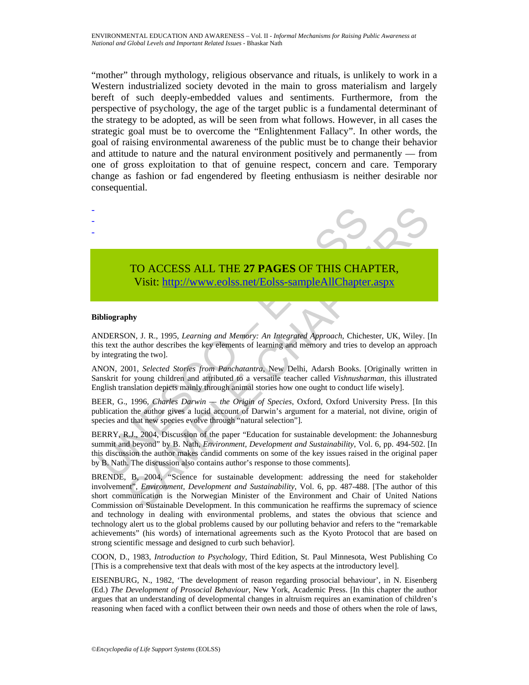"mother" through mythology, religious observance and rituals, is unlikely to work in a Western industrialized society devoted in the main to gross materialism and largely bereft of such deeply-embedded values and sentiments. Furthermore, from the perspective of psychology, the age of the target public is a fundamental determinant of the strategy to be adopted, as will be seen from what follows. However, in all cases the strategic goal must be to overcome the "Enlightenment Fallacy". In other words, the goal of raising environmental awareness of the public must be to change their behavior and attitude to nature and the natural environment positively and permanently — from one of gross exploitation to that of genuine respect, concern and care. Temporary change as fashion or fad engendered by fleeting enthusiasm is neither desirable nor consequential.

# TO ACCESS ALL THE **27 PAGES** OF THIS CHAPTER, Visit: http://www.eolss.net/Eolss-sampleAllChapter.aspx

#### **Bibliography**

- - -

ANDERSON, J. R., 1995, *Learning and Memory: An Integrated Approach*, Chichester, UK, Wiley. [In this text the author describes the key elements of learning and memory and tries to develop an approach by integrating the two].

ANON, 2001, *Selected Stories from Panchatantra*, New Delhi, Adarsh Books. [Originally written in Sanskrit for young children and attributed to a versatile teacher called *Vishnusharman*, this illustrated English translation depicts mainly through animal stories how one ought to conduct life wisely].

BEER, G., 1996, *Charles Darwin — the Origin of Species*, Oxford, Oxford University Press. [In this publication the author gives a lucid account of Darwin's argument for a material, not divine, origin of species and that new species evolve through "natural selection"].

**TO ACCESS ALL THE 27 PAGES OF THIS CHAINST VISIT:**<br>
Visit: http://www.eolss.net/Eolss-sampleAllChapter<br>
ibliography<br>
ibliography<br>
NDERSON, J. R., 1995, Learning and Memory: An Integrated Approach, Chiche<br>
is text the aut BERRY, R.J., 2004, Discussion of the paper "Education for sustainable development: the Johannesburg summit and beyond" by B. Nath, *Environment, Development and Sustainability*, Vol. 6, pp. 494-502. [In this discussion the author makes candid comments on some of the key issues raised in the original paper by B. Nath. The discussion also contains author's response to those comments].

TO ACCESS ALL THE 27 PAGES OF THIS CHA[PTE](https://www.eolss.net/ebooklib/sc_cart.aspx?File=E4-16-06-04)R,<br>
Visit: http://www.eolss.net/Eolss-sampleAllChapter.aspx<br>
hypersection is the Northerland Martioty: An Integrated Approach. Chichester, UK, Wiley. [1]<br>
hypersection Society and BRENDE, B, 2004, "Science for sustainable development: addressing the need for stakeholder involvement", *Environment, Development and Sustainability*, Vol. 6, pp. 487-488. [The author of this short communication is the Norwegian Minister of the Environment and Chair of United Nations Commission on Sustainable Development. In this communication he reaffirms the supremacy of science and technology in dealing with environmental problems, and states the obvious that science and technology alert us to the global problems caused by our polluting behavior and refers to the "remarkable achievements" (his words) of international agreements such as the Kyoto Protocol that are based on strong scientific message and designed to curb such behavior].

COON, D., 1983, *Introduction to Psychology*, Third Edition, St. Paul Minnesota, West Publishing Co [This is a comprehensive text that deals with most of the key aspects at the introductory level].

EISENBURG, N., 1982, 'The development of reason regarding prosocial behaviour', in N. Eisenberg (Ed.) *The Development of Prosocial Behaviour*, New York, Academic Press. [In this chapter the author argues that an understanding of developmental changes in altruism requires an examination of children's reasoning when faced with a conflict between their own needs and those of others when the role of laws,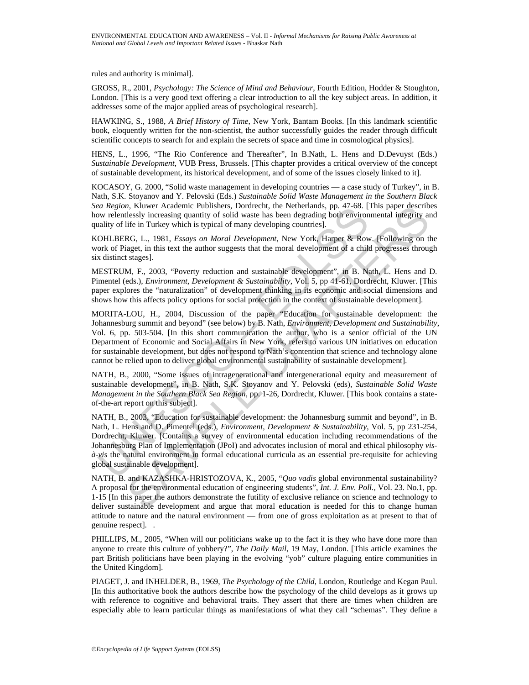rules and authority is minimal].

GROSS, R., 2001, *Psychology: The Science of Mind and Behaviour*, Fourth Edition, Hodder & Stoughton, London. [This is a very good text offering a clear introduction to all the key subject areas. In addition, it addresses some of the major applied areas of psychological research].

HAWKING, S., 1988, *A Brief History of Time*, New York, Bantam Books. [In this landmark scientific book, eloquently written for the non-scientist, the author successfully guides the reader through difficult scientific concepts to search for and explain the secrets of space and time in cosmological physics].

HENS, L., 1996, "The Rio Conference and Thereafter", In B.Nath, L. Hens and D.Devuyst (Eds.) *Sustainable Development*, VUB Press, Brussels. [This chapter provides a critical overview of the concept of sustainable development, its historical development, and of some of the issues closely linked to it].

KOCASOY, G. 2000, "Solid waste management in developing countries — a case study of Turkey", in B. Nath, S.K. Stoyanov and Y. Pelovski (Eds.) *Sustainable Solid Waste Management in the Southern Black Sea Region*, Kluwer Academic Publishers, Dordrecht, the Netherlands, pp. 47-68. [This paper describes how relentlessly increasing quantity of solid waste has been degrading both environmental integrity and quality of life in Turkey which is typical of many developing countries].

KOHLBERG, L., 1981, *Essays on Moral Development*, New York, Harper & Row. [Following on the work of Piaget, in this text the author suggests that the moral development of a child progresses through six distinct stages].

MESTRUM, F., 2003, "Poverty reduction and sustainable development", in B. Nath, L. Hens and D. Pimentel (eds.), *Environment, Development & Sustainability*, Vol. 5, pp 41-61, Dordrecht, Kluwer. [This paper explores the "naturalization" of development thinking in its economic and social dimensions and shows how this affects policy options for social protection in the context of sustainable development].

MORITA-LOU, H., 2004, Discussion of the paper "Education for sustainable development: the Johannesburg summit and beyond" (see below) by B. Nath, *Environment, Development and Sustainability*, Vol. 6, pp. 503-504. [In this short communication the author, who is a senior official of the UN Department of Economic and Social Affairs in New York, refers to various UN initiatives on education for sustainable development, but does not respond to Nath's contention that science and technology alone cannot be relied upon to deliver global environmental sustainability of sustainable development].

NATH, B., 2000, "Some issues of intragenerational and intergenerational equity and measurement of sustainable development", in B. Nath, S.K. Stoyanov and Y. Pelovski (eds), *Sustainable Solid Waste Management in the Southern Black Sea Region*, pp. 1-26, Dordrecht, Kluwer. [This book contains a stateof-the-art report on this subject].

Far Region, Kulver Aceaemic Probabises, Dortrecht, the Netterlandas, pp. 47-68. (<br>
Any releasity increasing quantity of solid waste has been degrading both environ<br>
ality of life in Turkey which is typical of many develop R. Kluver Academic Publishers, Dordrecht, the Netherlands, pp. 44-68. [This paper described<br>
Lessly increasing quantity of solid waste has been degrading both environmental integrity at<br>
life in Turkey which is typical of NATH, B., 2003, "Education for sustainable development: the Johannesburg summit and beyond", in B. Nath, L. Hens and D. Pimentel (eds.), *Environment, Development & Sustainability*, Vol. 5, pp 231-254, Dordrecht, Kluwer. [Contains a survey of environmental education including recommendations of the Johannesburg Plan of Implementation (JPoI) and advocates inclusion of moral and ethical philosophy *visà-vis* the natural environment in formal educational curricula as an essential pre-requisite for achieving global sustainable development].

NATH, B. and KAZASHKA-HRISTOZOVA, K., 2005, "*Quo vadis* global environmental sustainability? A proposal for the environmental education of engineering students", *Int. J. Env. Poll.,* Vol. 23. No.1, pp. 1-15 [In this paper the authors demonstrate the futility of exclusive reliance on science and technology to deliver sustainable development and argue that moral education is needed for this to change human attitude to nature and the natural environment — from one of gross exploitation as at present to that of genuine respect]. .

PHILLIPS, M., 2005, "When will our politicians wake up to the fact it is they who have done more than anyone to create this culture of yobbery?", *The Daily Mail*, 19 May, London. [This article examines the part British politicians have been playing in the evolving "yob" culture plaguing entire communities in the United Kingdom].

PIAGET, J. and INHELDER, B., 1969, *The Psychology of the Child*, London, Routledge and Kegan Paul. [In this authoritative book the authors describe how the psychology of the child develops as it grows up with reference to cognitive and behavioral traits. They assert that there are times when children are especially able to learn particular things as manifestations of what they call "schemas". They define a